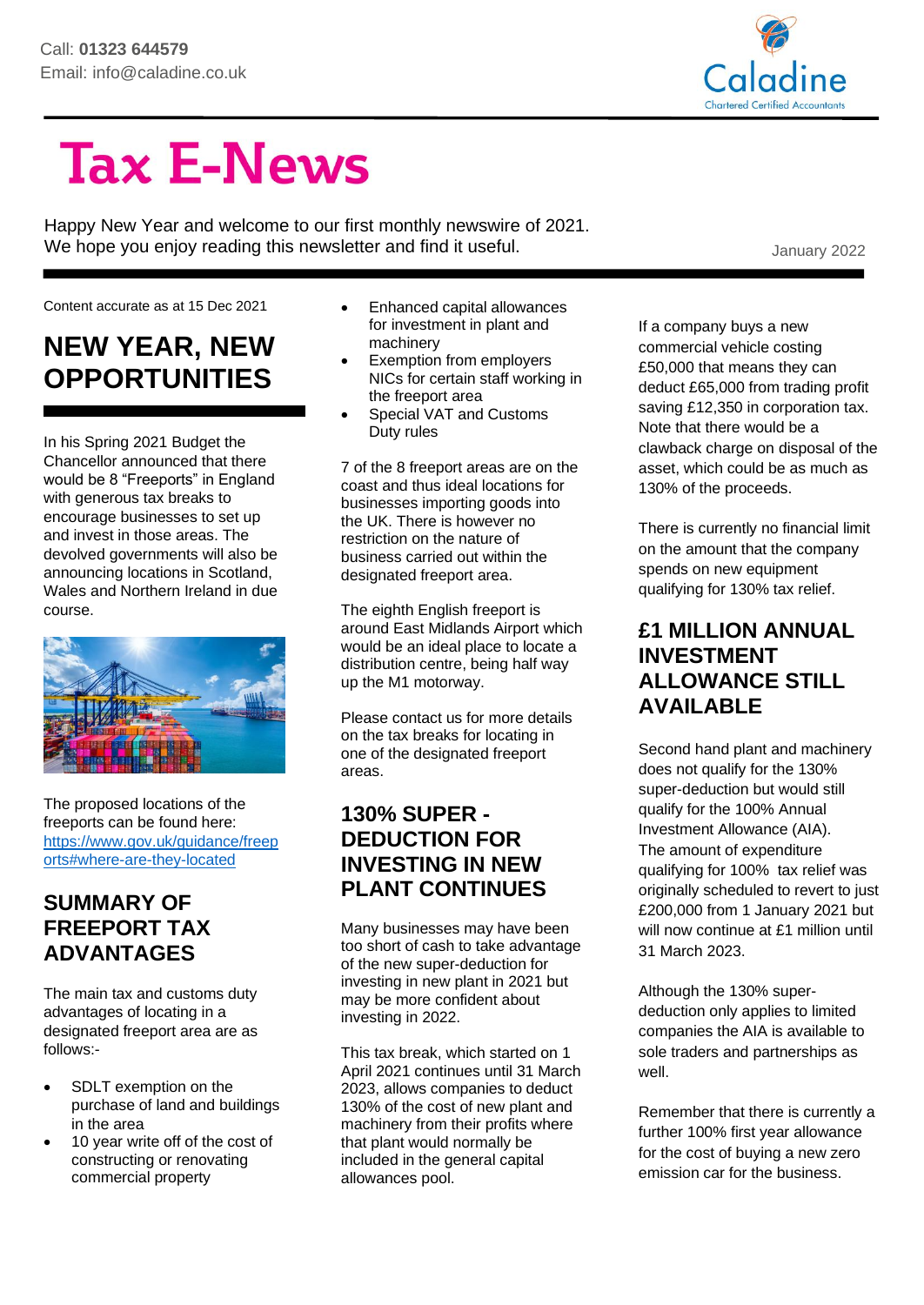

# **Tax E-News**

Happy New Year and welcome to our first monthly newswire of 2021. We hope you enjoy reading this newsletter and find it useful. We hope you enjoy reading this newsletter and find it useful.

Content accurate as at 15 Dec 2021

# **NEW YEAR, NEW OPPORTUNITIES**

In his Spring 2021 Budget the Chancellor announced that there would be 8 "Freeports" in England with generous tax breaks to encourage businesses to set up and invest in those areas. The devolved governments will also be announcing locations in Scotland, Wales and Northern Ireland in due course.



The proposed locations of the freeports can be found here: [https://www.gov.uk/guidance/freep](https://www.gov.uk/guidance/freeports#where-are-they-located) [orts#where-are-they-located](https://www.gov.uk/guidance/freeports#where-are-they-located)

#### **SUMMARY OF FREEPORT TAX ADVANTAGES**

The main tax and customs duty advantages of locating in a designated freeport area are as follows:-

- SDLT exemption on the purchase of land and buildings in the area
- 10 year write off of the cost of constructing or renovating commercial property
- Enhanced capital allowances for investment in plant and machinery
- Exemption from employers NICs for certain staff working in the freeport area
- Special VAT and Customs Duty rules

7 of the 8 freeport areas are on the coast and thus ideal locations for businesses importing goods into the UK. There is however no restriction on the nature of business carried out within the designated freeport area.

The eighth English freeport is around East Midlands Airport which would be an ideal place to locate a distribution centre, being half way up the M1 motorway.

Please contact us for more details on the tax breaks for locating in one of the designated freeport areas.

#### **130% SUPER - DEDUCTION FOR INVESTING IN NEW PLANT CONTINUES**

Many businesses may have been too short of cash to take advantage of the new super-deduction for investing in new plant in 2021 but may be more confident about investing in 2022.

This tax break, which started on 1 April 2021 continues until 31 March 2023, allows companies to deduct 130% of the cost of new plant and machinery from their profits where that plant would normally be included in the general capital allowances pool.

If a company buys a new commercial vehicle costing £50,000 that means they can deduct £65,000 from trading profit saving £12,350 in corporation tax. Note that there would be a clawback charge on disposal of the asset, which could be as much as 130% of the proceeds.

There is currently no financial limit on the amount that the company spends on new equipment qualifying for 130% tax relief.

#### **£1 MILLION ANNUAL INVESTMENT ALLOWANCE STILL AVAILABLE**

Second hand plant and machinery does not qualify for the 130% super-deduction but would still qualify for the 100% Annual Investment Allowance (AIA). The amount of expenditure qualifying for 100% tax relief was originally scheduled to revert to just £200,000 from 1 January 2021 but will now continue at £1 million until 31 March 2023.

Although the 130% superdeduction only applies to limited companies the AIA is available to sole traders and partnerships as well.

Remember that there is currently a further 100% first year allowance for the cost of buying a new zero emission car for the business.